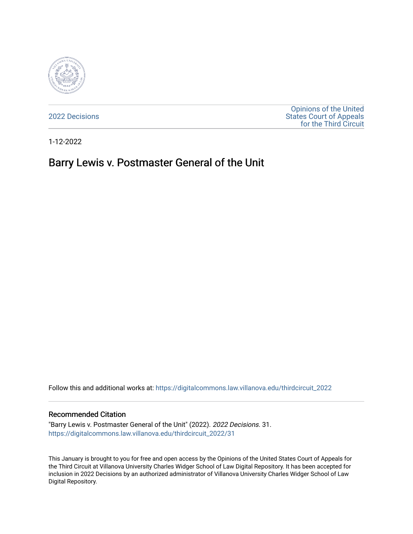

[2022 Decisions](https://digitalcommons.law.villanova.edu/thirdcircuit_2022)

[Opinions of the United](https://digitalcommons.law.villanova.edu/thirdcircuit)  [States Court of Appeals](https://digitalcommons.law.villanova.edu/thirdcircuit)  [for the Third Circuit](https://digitalcommons.law.villanova.edu/thirdcircuit) 

1-12-2022

# Barry Lewis v. Postmaster General of the Unit

Follow this and additional works at: [https://digitalcommons.law.villanova.edu/thirdcircuit\\_2022](https://digitalcommons.law.villanova.edu/thirdcircuit_2022?utm_source=digitalcommons.law.villanova.edu%2Fthirdcircuit_2022%2F31&utm_medium=PDF&utm_campaign=PDFCoverPages) 

### Recommended Citation

"Barry Lewis v. Postmaster General of the Unit" (2022). 2022 Decisions. 31. [https://digitalcommons.law.villanova.edu/thirdcircuit\\_2022/31](https://digitalcommons.law.villanova.edu/thirdcircuit_2022/31?utm_source=digitalcommons.law.villanova.edu%2Fthirdcircuit_2022%2F31&utm_medium=PDF&utm_campaign=PDFCoverPages)

This January is brought to you for free and open access by the Opinions of the United States Court of Appeals for the Third Circuit at Villanova University Charles Widger School of Law Digital Repository. It has been accepted for inclusion in 2022 Decisions by an authorized administrator of Villanova University Charles Widger School of Law Digital Repository.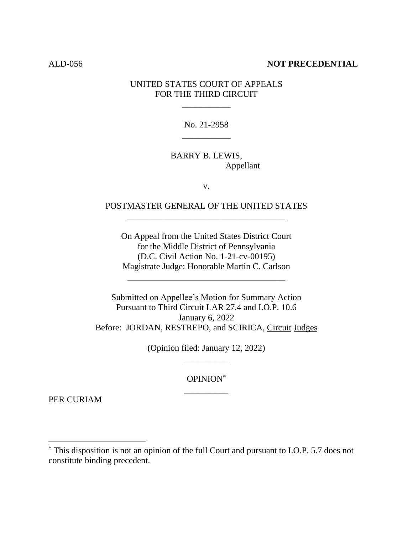### ALD-056 **NOT PRECEDENTIAL**

## UNITED STATES COURT OF APPEALS FOR THE THIRD CIRCUIT

\_\_\_\_\_\_\_\_\_\_\_

No. 21-2958

BARRY B. LEWIS, Appellant

\_\_\_\_\_\_\_\_\_\_\_

v.

# POSTMASTER GENERAL OF THE UNITED STATES \_\_\_\_\_\_\_\_\_\_\_\_\_\_\_\_\_\_\_\_\_\_\_\_\_\_\_\_\_\_\_\_\_\_\_\_

On Appeal from the United States District Court for the Middle District of Pennsylvania (D.C. Civil Action No. 1-21-cv-00195) Magistrate Judge: Honorable Martin C. Carlson

\_\_\_\_\_\_\_\_\_\_\_\_\_\_\_\_\_\_\_\_\_\_\_\_\_\_\_\_\_\_\_\_\_\_\_\_

Submitted on Appellee's Motion for Summary Action Pursuant to Third Circuit LAR 27.4 and I.O.P. 10.6 January 6, 2022 Before: JORDAN, RESTREPO, and SCIRICA, Circuit Judges

> (Opinion filed: January 12, 2022) \_\_\_\_\_\_\_\_\_\_

> > OPINION\* \_\_\_\_\_\_\_\_\_\_

PER CURIAM

<sup>\*</sup> This disposition is not an opinion of the full Court and pursuant to I.O.P. 5.7 does not constitute binding precedent.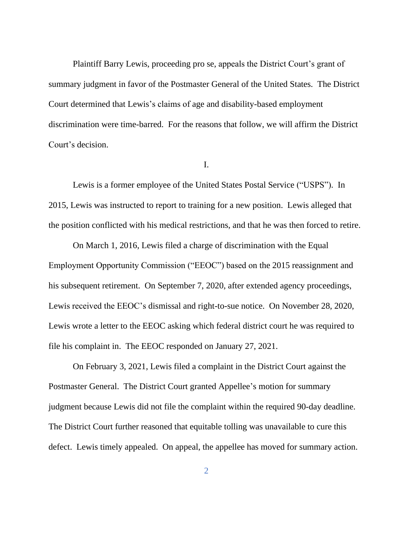Plaintiff Barry Lewis, proceeding pro se, appeals the District Court's grant of summary judgment in favor of the Postmaster General of the United States. The District Court determined that Lewis's claims of age and disability-based employment discrimination were time-barred. For the reasons that follow, we will affirm the District Court's decision.

I.

Lewis is a former employee of the United States Postal Service ("USPS"). In 2015, Lewis was instructed to report to training for a new position. Lewis alleged that the position conflicted with his medical restrictions, and that he was then forced to retire.

On March 1, 2016, Lewis filed a charge of discrimination with the Equal Employment Opportunity Commission ("EEOC") based on the 2015 reassignment and his subsequent retirement. On September 7, 2020, after extended agency proceedings, Lewis received the EEOC's dismissal and right-to-sue notice. On November 28, 2020, Lewis wrote a letter to the EEOC asking which federal district court he was required to file his complaint in. The EEOC responded on January 27, 2021.

On February 3, 2021, Lewis filed a complaint in the District Court against the Postmaster General. The District Court granted Appellee's motion for summary judgment because Lewis did not file the complaint within the required 90-day deadline. The District Court further reasoned that equitable tolling was unavailable to cure this defect. Lewis timely appealed. On appeal, the appellee has moved for summary action.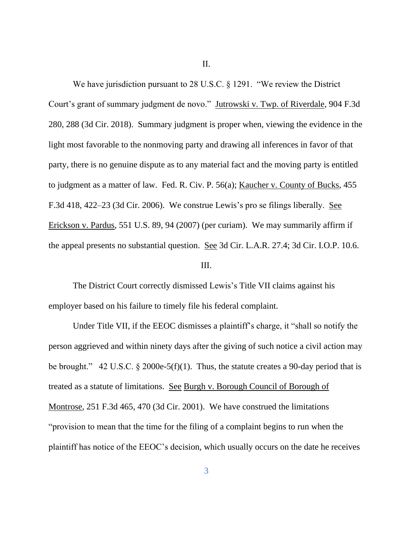II.

We have jurisdiction pursuant to 28 U.S.C. § 1291. "We review the District Court's grant of summary judgment de novo." Jutrowski v. Twp. of Riverdale, 904 F.3d 280, 288 (3d Cir. 2018). Summary judgment is proper when, viewing the evidence in the light most favorable to the nonmoving party and drawing all inferences in favor of that party, there is no genuine dispute as to any material fact and the moving party is entitled to judgment as a matter of law. Fed. R. Civ. P. 56(a); Kaucher v. County of Bucks, 455 F.3d 418, 422–23 (3d Cir. 2006). We construe Lewis's pro se filings liberally. See Erickson v. Pardus, 551 U.S. 89, 94 (2007) (per curiam). We may summarily affirm if the appeal presents no substantial question. See 3d Cir. L.A.R. 27.4; 3d Cir. I.O.P. 10.6.

### III.

The District Court correctly dismissed Lewis's Title VII claims against his employer based on his failure to timely file his federal complaint.

Under Title VII, if the EEOC dismisses a plaintiff's charge, it "shall so notify the person aggrieved and within ninety days after the giving of such notice a civil action may be brought." 42 U.S.C. § 2000e-5(f)(1). Thus, the statute creates a 90-day period that is treated as a statute of limitations. See Burgh v. Borough Council of Borough of Montrose, 251 F.3d 465, 470 (3d Cir. 2001). We have construed the limitations "provision to mean that the time for the filing of a complaint begins to run when the plaintiff has notice of the EEOC's decision, which usually occurs on the date he receives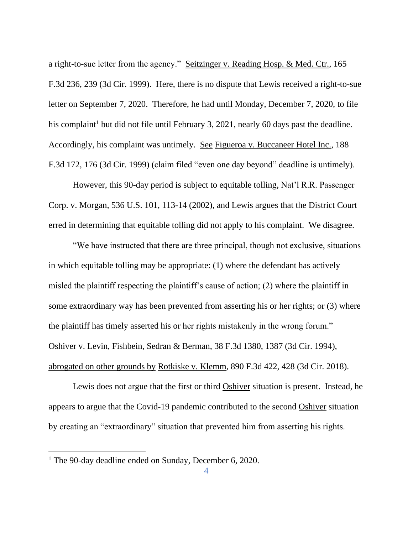a right-to-sue letter from the agency." Seitzinger v. Reading Hosp. & Med. Ctr., 165 F.3d 236, 239 (3d Cir. 1999). Here, there is no dispute that Lewis received a right-to-sue letter on September 7, 2020. Therefore, he had until Monday, December 7, 2020, to file his complaint<sup>1</sup> but did not file until February 3, 2021, nearly 60 days past the deadline. Accordingly, his complaint was untimely. See Figueroa v. Buccaneer Hotel Inc., 188 F.3d 172, 176 (3d Cir. 1999) (claim filed "even one day beyond" deadline is untimely).

However, this 90-day period is subject to equitable tolling, Nat'l R.R. Passenger Corp. v. Morgan, 536 U.S. 101, 113-14 (2002), and Lewis argues that the District Court erred in determining that equitable tolling did not apply to his complaint. We disagree.

"We have instructed that there are three principal, though not exclusive, situations in which equitable tolling may be appropriate: (1) where the defendant has actively misled the plaintiff respecting the plaintiff's cause of action; (2) where the plaintiff in some extraordinary way has been prevented from asserting his or her rights; or (3) where the plaintiff has timely asserted his or her rights mistakenly in the wrong forum." Oshiver v. Levin, Fishbein, Sedran & Berman, 38 F.3d 1380, 1387 (3d Cir. 1994), abrogated on other grounds by Rotkiske v. Klemm, 890 F.3d 422, 428 (3d Cir. 2018).

Lewis does not argue that the first or third Oshiver situation is present. Instead, he appears to argue that the Covid-19 pandemic contributed to the second Oshiver situation by creating an "extraordinary" situation that prevented him from asserting his rights.

<sup>&</sup>lt;sup>1</sup> The 90-day deadline ended on Sunday, December 6, 2020.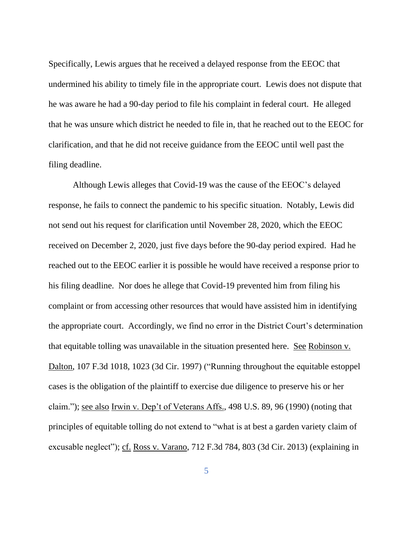Specifically, Lewis argues that he received a delayed response from the EEOC that undermined his ability to timely file in the appropriate court. Lewis does not dispute that he was aware he had a 90-day period to file his complaint in federal court. He alleged that he was unsure which district he needed to file in, that he reached out to the EEOC for clarification, and that he did not receive guidance from the EEOC until well past the filing deadline.

Although Lewis alleges that Covid-19 was the cause of the EEOC's delayed response, he fails to connect the pandemic to his specific situation. Notably, Lewis did not send out his request for clarification until November 28, 2020, which the EEOC received on December 2, 2020, just five days before the 90-day period expired. Had he reached out to the EEOC earlier it is possible he would have received a response prior to his filing deadline. Nor does he allege that Covid-19 prevented him from filing his complaint or from accessing other resources that would have assisted him in identifying the appropriate court. Accordingly, we find no error in the District Court's determination that equitable tolling was unavailable in the situation presented here. See Robinson v. Dalton, 107 F.3d 1018, 1023 (3d Cir. 1997) ("Running throughout the equitable estoppel cases is the obligation of the plaintiff to exercise due diligence to preserve his or her claim."); see also Irwin v. Dep't of Veterans Affs., 498 U.S. 89, 96 (1990) (noting that principles of equitable tolling do not extend to "what is at best a garden variety claim of excusable neglect"); cf. Ross v. Varano, 712 F.3d 784, 803 (3d Cir. 2013) (explaining in